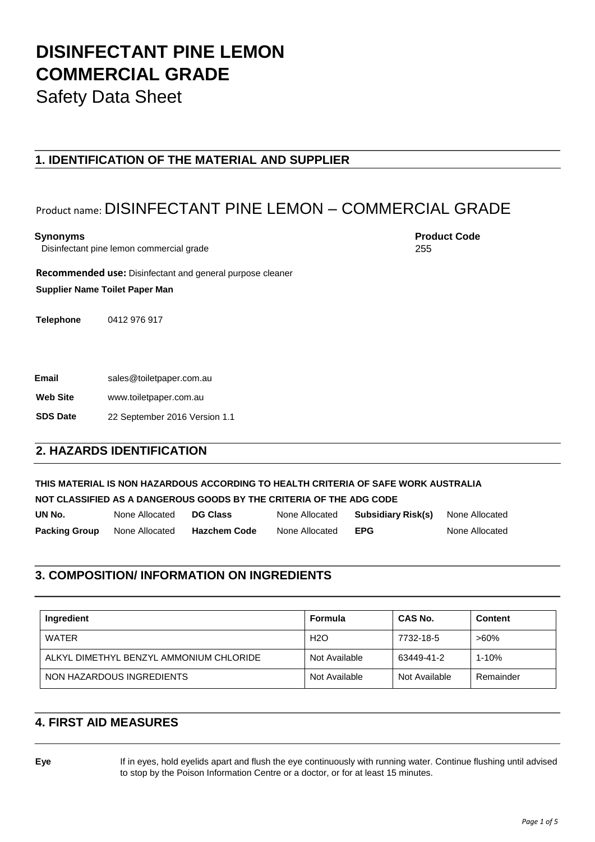Safety Data Sheet

#### **1. IDENTIFICATION OF THE MATERIAL AND SUPPLIER**

# Product name: DISINFECTANT PINE LEMON – COMMERCIAL GRADE

Disinfectant pine lemon commercial grade

**Synonyms** Product Code **Product Code Product Code Product Code** 255

**Recommended use:** Disinfectant and general purpose cleaner

**Supplier Name Toilet Paper Man**

**Telephone** 0412 976 917

**Email** sales@toiletpaper.com.au

**Web Site** www.toiletpaper.com.au

**SDS Date** 22 September 2016 Version 1.1

#### **2. HAZARDS IDENTIFICATION**

**THIS MATERIAL IS NON HAZARDOUS ACCORDING TO HEALTH CRITERIA OF SAFE WORK AUSTRALIA NOT CLASSIFIED AS A DANGEROUS GOODS BY THE CRITERIA OF THE ADG CODE** 

| UN No.                              | None Allocated | <b>DG Class</b>     | None Allocated | <b>Subsidiary Risk(s)</b> None Allocated |                |
|-------------------------------------|----------------|---------------------|----------------|------------------------------------------|----------------|
| <b>Packing Group</b> None Allocated |                | <b>Hazchem Code</b> | None Allocated | <b>EPG</b>                               | None Allocated |

#### **3. COMPOSITION/ INFORMATION ON INGREDIENTS**

| Ingredient                              | Formula       | <b>CAS No.</b> | <b>Content</b> |
|-----------------------------------------|---------------|----------------|----------------|
| WATER                                   | H2O           | 7732-18-5      | $>60\%$        |
| ALKYL DIMETHYL BENZYL AMMONIUM CHLORIDE | Not Available | 63449-41-2     | 1-10%          |
| NON HAZARDOUS INGREDIENTS               | Not Available | Not Available  | Remainder      |

#### **4. FIRST AID MEASURES**

**Eye** If in eyes, hold eyelids apart and flush the eye continuously with running water. Continue flushing until advised to stop by the Poison Information Centre or a doctor, or for at least 15 minutes.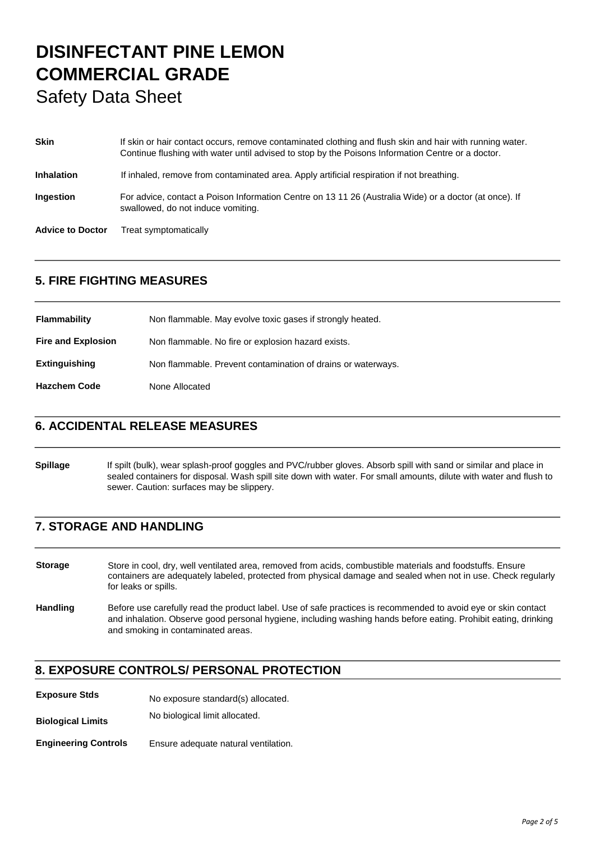# **DISINFECTANT PINE LEMON COMMERCIAL GRADE**  Safety Data Sheet

# **Skin** If skin or hair contact occurs, remove contaminated clothing and flush skin and hair with running water. Continue flushing with water until advised to stop by the Poisons Information Centre or a doctor. **Inhalation** If inhaled, remove from contaminated area. Apply artificial respiration if not breathing. **Ingestion** For advice, contact a Poison Information Centre on 13 11 26 (Australia Wide) or a doctor (at once). If swallowed, do not induce vomiting. **Advice to Doctor** Treat symptomatically

### **5. FIRE FIGHTING MEASURES**

| <b>Flammability</b>       | Non flammable. May evolve toxic gases if strongly heated.    |
|---------------------------|--------------------------------------------------------------|
| <b>Fire and Explosion</b> | Non flammable. No fire or explosion hazard exists.           |
| <b>Extinguishing</b>      | Non flammable. Prevent contamination of drains or waterways. |
| <b>Hazchem Code</b>       | None Allocated                                               |

#### **6. ACCIDENTAL RELEASE MEASURES**

**Spillage** If spilt (bulk), wear splash-proof goggles and PVC/rubber gloves. Absorb spill with sand or similar and place in sealed containers for disposal. Wash spill site down with water. For small amounts, dilute with water and flush to sewer. Caution: surfaces may be slippery.

### **7. STORAGE AND HANDLING**

**Storage** Store in cool, dry, well ventilated area, removed from acids, combustible materials and foodstuffs. Ensure containers are adequately labeled, protected from physical damage and sealed when not in use. Check regularly for leaks or spills.

**Handling** Before use carefully read the product label. Use of safe practices is recommended to avoid eye or skin contact and inhalation. Observe good personal hygiene, including washing hands before eating. Prohibit eating, drinking and smoking in contaminated areas.

#### **8. EXPOSURE CONTROLS/ PERSONAL PROTECTION**

**Exposure Stds** No exposure standard(s) allocated.

**Biological Limits** No biological limit allocated.

**Engineering Controls** Ensure adequate natural ventilation.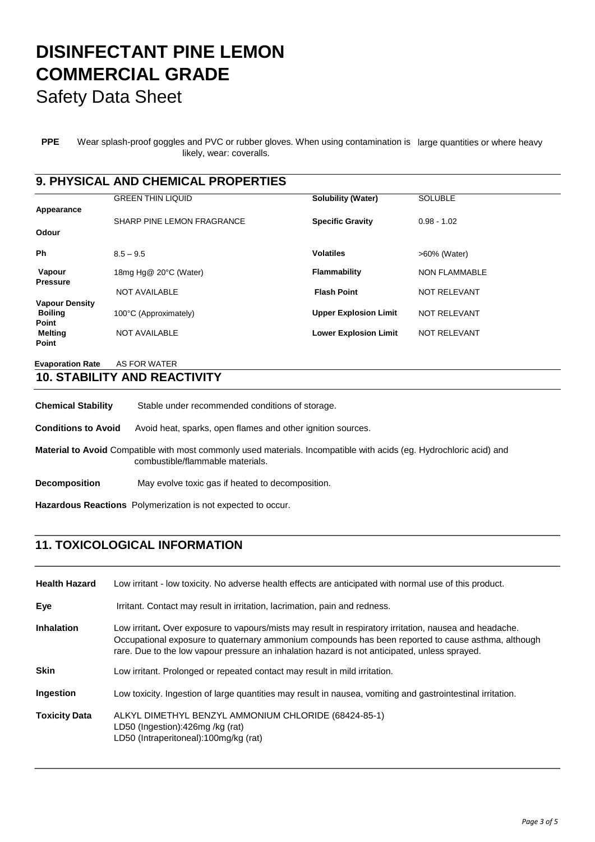Safety Data Sheet

**PPE** Wear splash-proof goggles and PVC or rubber gloves. When using contamination is large quantities or where heavy likely, wear: coveralls.

### **9. PHYSICAL AND CHEMICAL PROPERTIES**

|                       | <b>GREEN THIN LIQUID</b>   | <b>Solubility (Water)</b>    | <b>SOLUBLE</b>       |
|-----------------------|----------------------------|------------------------------|----------------------|
| Appearance            | SHARP PINE LEMON FRAGRANCE | <b>Specific Gravity</b>      | $0.98 - 1.02$        |
| Odour                 |                            |                              |                      |
| Ph                    | $8.5 - 9.5$                | <b>Volatiles</b>             | >60% (Water)         |
| Vapour                | 18mg Hg@ 20°C (Water)      | Flammability                 | <b>NON FLAMMABLE</b> |
| <b>Pressure</b>       | <b>NOT AVAILABLE</b>       | <b>Flash Point</b>           | <b>NOT RELEVANT</b>  |
| <b>Vapour Density</b> |                            |                              |                      |
| <b>Boiling</b>        | 100°C (Approximately)      | <b>Upper Explosion Limit</b> | <b>NOT RELEVANT</b>  |
| Point                 |                            |                              |                      |
| <b>Melting</b>        | <b>NOT AVAILABLE</b>       | <b>Lower Explosion Limit</b> | <b>NOT RELEVANT</b>  |
| Point                 |                            |                              |                      |
|                       |                            |                              |                      |

**Evaporation Rate** AS FOR WATER

### **10. STABILITY AND REACTIVITY**

| <b>Chemical Stability</b>                                                                                                                               | Stable under recommended conditions of storage.              |  |  |  |
|---------------------------------------------------------------------------------------------------------------------------------------------------------|--------------------------------------------------------------|--|--|--|
| <b>Conditions to Avoid</b>                                                                                                                              | Avoid heat, sparks, open flames and other ignition sources.  |  |  |  |
| Material to Avoid Compatible with most commonly used materials. Incompatible with acids (eq. Hydrochloric acid) and<br>combustible/flammable materials. |                                                              |  |  |  |
| <b>Decomposition</b>                                                                                                                                    | May evolve toxic gas if heated to decomposition.             |  |  |  |
|                                                                                                                                                         | Hazardous Reactions Polymerization is not expected to occur. |  |  |  |

### **11. TOXICOLOGICAL INFORMATION**

| <b>Health Hazard</b> | Low irritant - low toxicity. No adverse health effects are anticipated with normal use of this product.                                                                                                                                                                                                        |
|----------------------|----------------------------------------------------------------------------------------------------------------------------------------------------------------------------------------------------------------------------------------------------------------------------------------------------------------|
| Eye                  | Irritant. Contact may result in irritation, lacrimation, pain and redness.                                                                                                                                                                                                                                     |
| <b>Inhalation</b>    | Low irritant. Over exposure to vapours/mists may result in respiratory irritation, nausea and headache.<br>Occupational exposure to quaternary ammonium compounds has been reported to cause asthma, although<br>rare. Due to the low vapour pressure an inhalation hazard is not anticipated, unless sprayed. |
| <b>Skin</b>          | Low irritant. Prolonged or repeated contact may result in mild irritation.                                                                                                                                                                                                                                     |
| Ingestion            | Low toxicity. Ingestion of large quantities may result in nausea, vomiting and gastrointestinal irritation.                                                                                                                                                                                                    |
| <b>Toxicity Data</b> | ALKYL DIMETHYL BENZYL AMMONIUM CHLORIDE (68424-85-1)<br>LD50 (Ingestion):426mg /kg (rat)<br>LD50 (Intraperitoneal):100mg/kg (rat)                                                                                                                                                                              |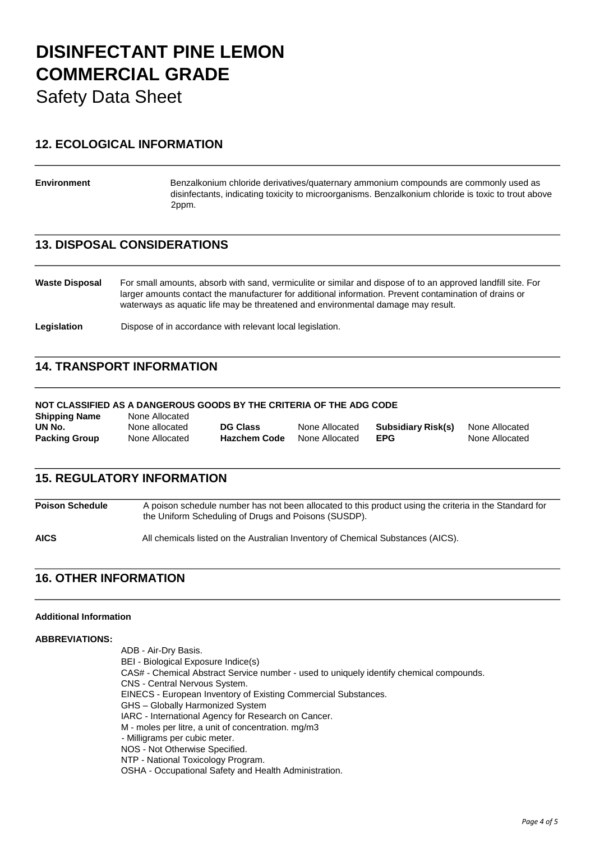Safety Data Sheet

### **12. ECOLOGICAL INFORMATION**

**Environment** Benzalkonium chloride derivatives/quaternary ammonium compounds are commonly used as disinfectants, indicating toxicity to microorganisms. Benzalkonium chloride is toxic to trout above 2ppm.

#### **13. DISPOSAL CONSIDERATIONS**

**Waste Disposal** For small amounts, absorb with sand, vermiculite or similar and dispose of to an approved landfill site. For larger amounts contact the manufacturer for additional information. Prevent contamination of drains or waterways as aquatic life may be threatened and environmental damage may result.

Legislation **Dispose of in accordance with relevant local legislation.** 

#### **14. TRANSPORT INFORMATION**

#### **NOT CLASSIFIED AS A DANGEROUS GOODS BY THE CRITERIA OF THE ADG CODE**

| <b>Shipping Name</b> | None Allocated |                     |                |                    |                |
|----------------------|----------------|---------------------|----------------|--------------------|----------------|
| UN No.               | None allocated | <b>DG Class</b>     | None Allocated | Subsidiary Risk(s) | None Allocated |
| <b>Packing Group</b> | None Allocated | <b>Hazchem Code</b> | None Allocated | EPG                | None Allocated |

## **15. REGULATORY INFORMATION**

**Poison Schedule** A poison schedule number has not been allocated to this product using the criteria in the Standard for the Uniform Scheduling of Drugs and Poisons (SUSDP).

**AICS** All chemicals listed on the Australian Inventory of Chemical Substances (AICS).

#### **16. OTHER INFORMATION**

#### **Additional Information**

#### **ABBREVIATIONS:**

ADB - Air-Dry Basis. BEI - Biological Exposure Indice(s) CAS# - Chemical Abstract Service number - used to uniquely identify chemical compounds. CNS - Central Nervous System. EINECS - European Inventory of Existing Commercial Substances. GHS – Globally Harmonized System IARC - International Agency for Research on Cancer. M - moles per litre, a unit of concentration. mg/m3 - Milligrams per cubic meter. NOS - Not Otherwise Specified. NTP - National Toxicology Program. OSHA - Occupational Safety and Health Administration.